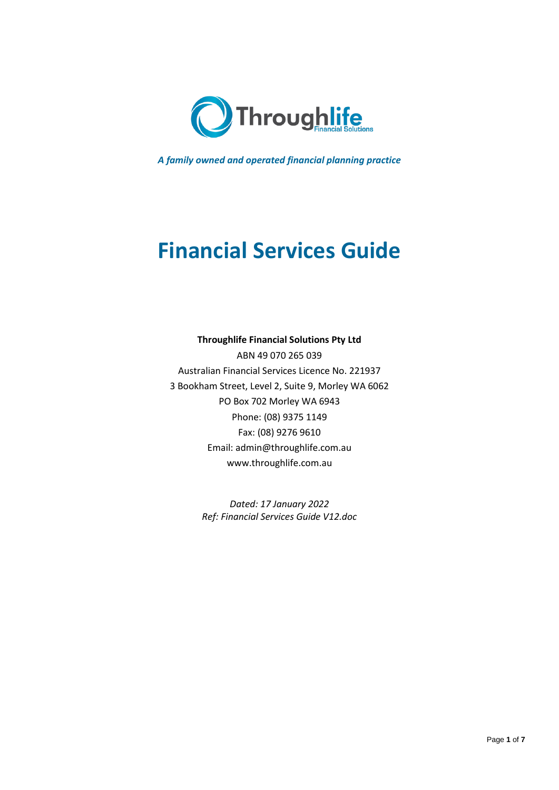

*A family owned and operated financial planning practice*

# **Financial Services Guide**

## **Throughlife Financial Solutions Pty Ltd**

ABN 49 070 265 039 Australian Financial Services Licence No. 221937 3 Bookham Street, Level 2, Suite 9, Morley WA 6062 PO Box 702 Morley WA 6943 Phone: (08) 9375 1149 Fax: (08) 9276 9610 Email: [admin@throughlife.com.au](mailto:admin@throughlife.com.au) www.throughlife.com.au

> *Dated: 17 January 2022 Ref: Financial Services Guide V12.doc*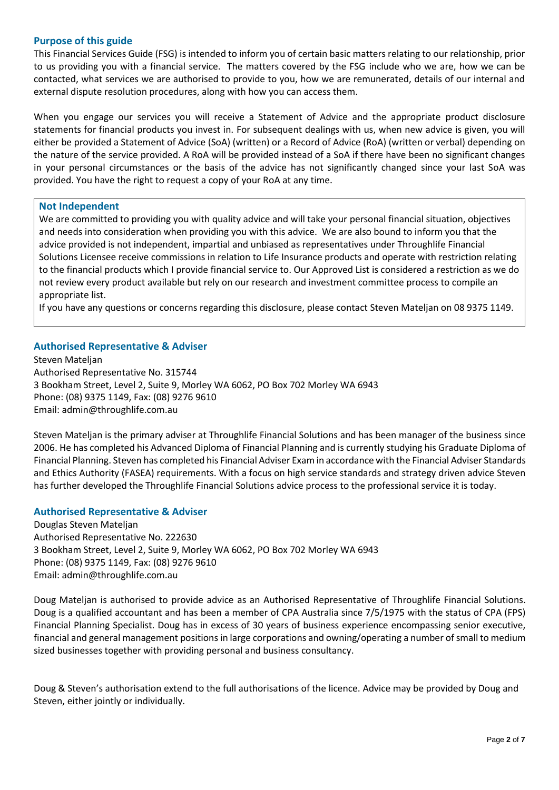## **Purpose of this guide**

This Financial Services Guide (FSG) is intended to inform you of certain basic matters relating to our relationship, prior to us providing you with a financial service. The matters covered by the FSG include who we are, how we can be contacted, what services we are authorised to provide to you, how we are remunerated, details of our internal and external dispute resolution procedures, along with how you can access them.

When you engage our services you will receive a Statement of Advice and the appropriate product disclosure statements for financial products you invest in. For subsequent dealings with us, when new advice is given, you will either be provided a Statement of Advice (SoA) (written) or a Record of Advice (RoA) (written or verbal) depending on the nature of the service provided. A RoA will be provided instead of a SoA if there have been no significant changes in your personal circumstances or the basis of the advice has not significantly changed since your last SoA was provided. You have the right to request a copy of your RoA at any time.

## **Not Independent**

We are committed to providing you with quality advice and will take your personal financial situation, objectives and needs into consideration when providing you with this advice. We are also bound to inform you that the advice provided is not independent, impartial and unbiased as representatives under Throughlife Financial Solutions Licensee receive commissions in relation to Life Insurance products and operate with restriction relating to the financial products which I provide financial service to. Our Approved List is considered a restriction as we do not review every product available but rely on our research and investment committee process to compile an appropriate list.

If you have any questions or concerns regarding this disclosure, please contact Steven Mateljan on 08 9375 1149.

## **Authorised Representative & Adviser**

Steven Mateljan Authorised Representative No. 315744 3 Bookham Street, Level 2, Suite 9, Morley WA 6062, PO Box 702 Morley WA 6943 Phone: (08) 9375 1149, Fax: (08) 9276 9610 Email: [admin@throughlife.com.au](mailto:admin@throughlife.com.au)

Steven Mateljan is the primary adviser at Throughlife Financial Solutions and has been manager of the business since 2006. He has completed his Advanced Diploma of Financial Planning and is currently studying his Graduate Diploma of Financial Planning. Steven has completed his Financial Adviser Exam in accordance with the Financial Adviser Standards and Ethics Authority (FASEA) requirements. With a focus on high service standards and strategy driven advice Steven has further developed the Throughlife Financial Solutions advice process to the professional service it is today.

## **Authorised Representative & Adviser**

Douglas Steven Mateljan Authorised Representative No. 222630 3 Bookham Street, Level 2, Suite 9, Morley WA 6062, PO Box 702 Morley WA 6943 Phone: (08) 9375 1149, Fax: (08) 9276 9610 Email: [admin@throughlife.com.au](mailto:admin@throughlife.com.au)

Doug Mateljan is authorised to provide advice as an Authorised Representative of Throughlife Financial Solutions. Doug is a qualified accountant and has been a member of CPA Australia since 7/5/1975 with the status of CPA (FPS) Financial Planning Specialist. Doug has in excess of 30 years of business experience encompassing senior executive, financial and general management positions in large corporations and owning/operating a number of small to medium sized businesses together with providing personal and business consultancy.

Doug & Steven's authorisation extend to the full authorisations of the licence. Advice may be provided by Doug and Steven, either jointly or individually.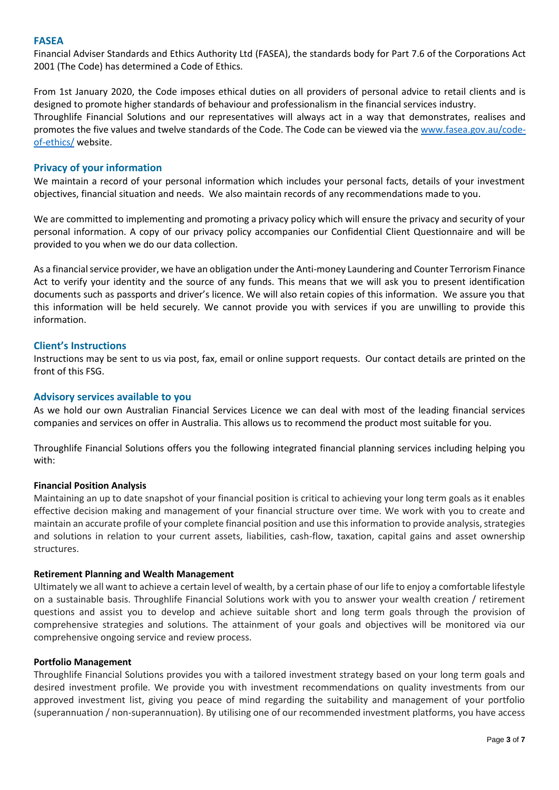#### **FASEA**

Financial Adviser Standards and Ethics Authority Ltd (FASEA), the standards body for Part 7.6 of the Corporations Act 2001 (The Code) has determined a Code of Ethics.

From 1st January 2020, the Code imposes ethical duties on all providers of personal advice to retail clients and is designed to promote higher standards of behaviour and professionalism in the financial services industry. Throughlife Financial Solutions and our representatives will always act in a way that demonstrates, realises and promotes the five values and twelve standards of the Code. The Code can be viewed via the [www.fasea.gov.au/code](http://www.fasea.gov.au/code-of-ethics/)[of-ethics/](http://www.fasea.gov.au/code-of-ethics/) website.

## **Privacy of your information**

We maintain a record of your personal information which includes your personal facts, details of your investment objectives, financial situation and needs. We also maintain records of any recommendations made to you.

We are committed to implementing and promoting a privacy policy which will ensure the privacy and security of your personal information. A copy of our privacy policy accompanies our Confidential Client Questionnaire and will be provided to you when we do our data collection.

As a financial service provider, we have an obligation under the Anti-money Laundering and Counter Terrorism Finance Act to verify your identity and the source of any funds. This means that we will ask you to present identification documents such as passports and driver's licence. We will also retain copies of this information. We assure you that this information will be held securely. We cannot provide you with services if you are unwilling to provide this information.

## **Client's Instructions**

Instructions may be sent to us via post, fax, email or online support requests. Our contact details are printed on the front of this FSG.

## **Advisory services available to you**

As we hold our own Australian Financial Services Licence we can deal with most of the leading financial services companies and services on offer in Australia. This allows us to recommend the product most suitable for you.

Throughlife Financial Solutions offers you the following integrated financial planning services including helping you with:

## **Financial Position Analysis**

Maintaining an up to date snapshot of your financial position is critical to achieving your long term goals as it enables effective decision making and management of your financial structure over time. We work with you to create and maintain an accurate profile of your complete financial position and use this information to provide analysis, strategies and solutions in relation to your current assets, liabilities, cash-flow, taxation, capital gains and asset ownership structures.

## **Retirement Planning and Wealth Management**

Ultimately we all want to achieve a certain level of wealth, by a certain phase of our life to enjoy a comfortable lifestyle on a sustainable basis. Throughlife Financial Solutions work with you to answer your wealth creation / retirement questions and assist you to develop and achieve suitable short and long term goals through the provision of comprehensive strategies and solutions. The attainment of your goals and objectives will be monitored via our comprehensive ongoing service and review process.

#### **Portfolio Management**

Throughlife Financial Solutions provides you with a tailored investment strategy based on your long term goals and desired investment profile. We provide you with investment recommendations on quality investments from our approved investment list, giving you peace of mind regarding the suitability and management of your portfolio (superannuation / non-superannuation). By utilising one of our recommended investment platforms, you have access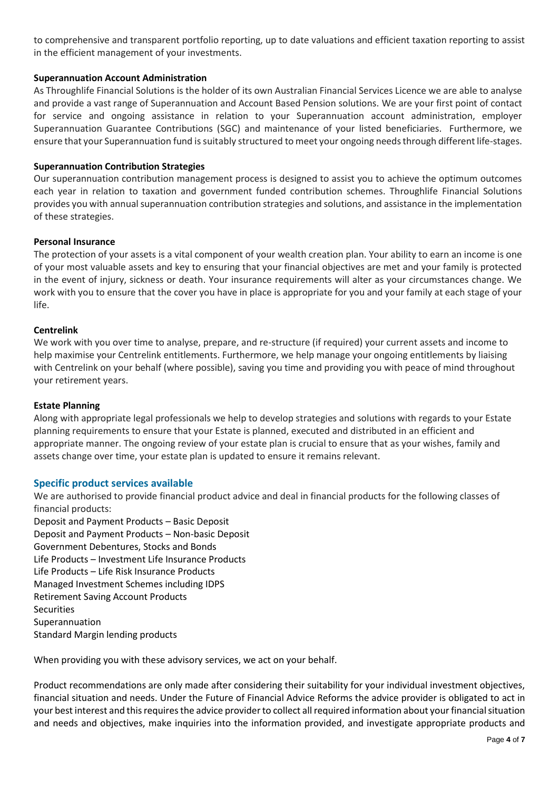to comprehensive and transparent portfolio reporting, up to date valuations and efficient taxation reporting to assist in the efficient management of your investments.

## **Superannuation Account Administration**

As Throughlife Financial Solutions is the holder of its own Australian Financial Services Licence we are able to analyse and provide a vast range of Superannuation and Account Based Pension solutions. We are your first point of contact for service and ongoing assistance in relation to your Superannuation account administration, employer Superannuation Guarantee Contributions (SGC) and maintenance of your listed beneficiaries. Furthermore, we ensure that your Superannuation fund is suitably structured to meet your ongoing needs through different life-stages.

## **Superannuation Contribution Strategies**

Our superannuation contribution management process is designed to assist you to achieve the optimum outcomes each year in relation to taxation and government funded contribution schemes. Throughlife Financial Solutions provides you with annual superannuation contribution strategies and solutions, and assistance in the implementation of these strategies.

## **Personal Insurance**

The protection of your assets is a vital component of your wealth creation plan. Your ability to earn an income is one of your most valuable assets and key to ensuring that your financial objectives are met and your family is protected in the event of injury, sickness or death. Your insurance requirements will alter as your circumstances change. We work with you to ensure that the cover you have in place is appropriate for you and your family at each stage of your life.

## **Centrelink**

We work with you over time to analyse, prepare, and re-structure (if required) your current assets and income to help maximise your Centrelink entitlements. Furthermore, we help manage your ongoing entitlements by liaising with Centrelink on your behalf (where possible), saving you time and providing you with peace of mind throughout your retirement years.

## **Estate Planning**

Along with appropriate legal professionals we help to develop strategies and solutions with regards to your Estate planning requirements to ensure that your Estate is planned, executed and distributed in an efficient and appropriate manner. The ongoing review of your estate plan is crucial to ensure that as your wishes, family and assets change over time, your estate plan is updated to ensure it remains relevant.

# **Specific product services available**

We are authorised to provide financial product advice and deal in financial products for the following classes of financial products:

Deposit and Payment Products – Basic Deposit Deposit and Payment Products – Non-basic Deposit Government Debentures, Stocks and Bonds Life Products – Investment Life Insurance Products Life Products – Life Risk Insurance Products Managed Investment Schemes including IDPS Retirement Saving Account Products **Securities** Superannuation Standard Margin lending products

When providing you with these advisory services, we act on your behalf.

Product recommendations are only made after considering their suitability for your individual investment objectives, financial situation and needs. Under the Future of Financial Advice Reforms the advice provider is obligated to act in your best interest and this requires the advice provider to collect all required information about your financial situation and needs and objectives, make inquiries into the information provided, and investigate appropriate products and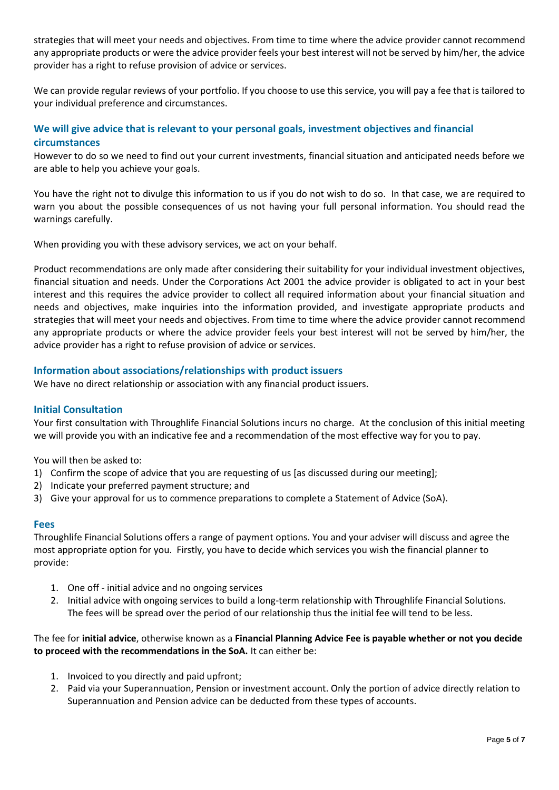strategies that will meet your needs and objectives. From time to time where the advice provider cannot recommend any appropriate products or were the advice provider feels your best interest will not be served by him/her, the advice provider has a right to refuse provision of advice or services.

We can provide regular reviews of your portfolio. If you choose to use this service, you will pay a fee that is tailored to your individual preference and circumstances.

# **We will give advice that is relevant to your personal goals, investment objectives and financial circumstances**

However to do so we need to find out your current investments, financial situation and anticipated needs before we are able to help you achieve your goals.

You have the right not to divulge this information to us if you do not wish to do so. In that case, we are required to warn you about the possible consequences of us not having your full personal information. You should read the warnings carefully.

When providing you with these advisory services, we act on your behalf.

Product recommendations are only made after considering their suitability for your individual investment objectives, financial situation and needs. Under the Corporations Act 2001 the advice provider is obligated to act in your best interest and this requires the advice provider to collect all required information about your financial situation and needs and objectives, make inquiries into the information provided, and investigate appropriate products and strategies that will meet your needs and objectives. From time to time where the advice provider cannot recommend any appropriate products or where the advice provider feels your best interest will not be served by him/her, the advice provider has a right to refuse provision of advice or services.

## **Information about associations/relationships with product issuers**

We have no direct relationship or association with any financial product issuers.

## **Initial Consultation**

Your first consultation with Throughlife Financial Solutions incurs no charge. At the conclusion of this initial meeting we will provide you with an indicative fee and a recommendation of the most effective way for you to pay.

You will then be asked to:

- 1) Confirm the scope of advice that you are requesting of us [as discussed during our meeting];
- 2) Indicate your preferred payment structure; and
- 3) Give your approval for us to commence preparations to complete a Statement of Advice (SoA).

#### **Fees**

Throughlife Financial Solutions offers a range of payment options. You and your adviser will discuss and agree the most appropriate option for you. Firstly, you have to decide which services you wish the financial planner to provide:

- 1. One off initial advice and no ongoing services
- 2. Initial advice with ongoing services to build a long-term relationship with Throughlife Financial Solutions. The fees will be spread over the period of our relationship thus the initial fee will tend to be less.

The fee for **initial advice**, otherwise known as a **Financial Planning Advice Fee is payable whether or not you decide to proceed with the recommendations in the SoA.** It can either be:

- 1. Invoiced to you directly and paid upfront;
- 2. Paid via your Superannuation, Pension or investment account. Only the portion of advice directly relation to Superannuation and Pension advice can be deducted from these types of accounts.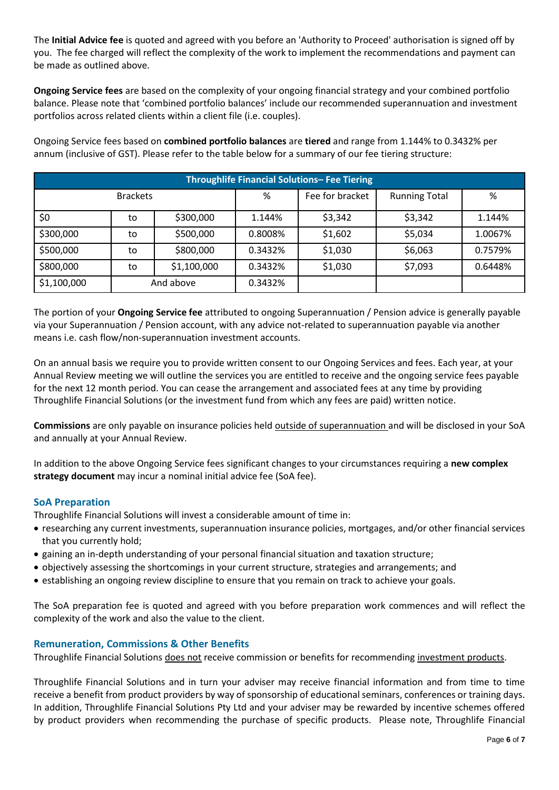The **Initial Advice fee** is quoted and agreed with you before an 'Authority to Proceed' authorisation is signed off by you. The fee charged will reflect the complexity of the work to implement the recommendations and payment can be made as outlined above.

**Ongoing Service fees** are based on the complexity of your ongoing financial strategy and your combined portfolio balance. Please note that 'combined portfolio balances' include our recommended superannuation and investment portfolios across related clients within a client file (i.e. couples).

Ongoing Service fees based on **combined portfolio balances** are **tiered** and range from 1.144% to 0.3432% per annum (inclusive of GST). Please refer to the table below for a summary of our fee tiering structure:

| <b>Throughlife Financial Solutions- Fee Tiering</b> |           |             |         |                 |                      |         |
|-----------------------------------------------------|-----------|-------------|---------|-----------------|----------------------|---------|
| <b>Brackets</b>                                     |           |             | %       | Fee for bracket | <b>Running Total</b> | %       |
| \$0                                                 | to        | \$300,000   | 1.144%  | \$3,342         | \$3,342              | 1.144%  |
| \$300,000                                           | to        | \$500,000   | 0.8008% | \$1,602         | \$5,034              | 1.0067% |
| \$500,000                                           | to        | \$800,000   | 0.3432% | \$1,030         | \$6,063              | 0.7579% |
| \$800,000                                           | to        | \$1,100,000 | 0.3432% | \$1,030         | \$7,093              | 0.6448% |
| \$1,100,000                                         | And above |             | 0.3432% |                 |                      |         |

The portion of your **Ongoing Service fee** attributed to ongoing Superannuation / Pension advice is generally payable via your Superannuation / Pension account, with any advice not-related to superannuation payable via another means i.e. cash flow/non-superannuation investment accounts.

On an annual basis we require you to provide written consent to our Ongoing Services and fees. Each year, at your Annual Review meeting we will outline the services you are entitled to receive and the ongoing service fees payable for the next 12 month period. You can cease the arrangement and associated fees at any time by providing Throughlife Financial Solutions (or the investment fund from which any fees are paid) written notice.

**Commissions** are only payable on insurance policies held outside of superannuation and will be disclosed in your SoA and annually at your Annual Review.

In addition to the above Ongoing Service fees significant changes to your circumstances requiring a **new complex strategy document** may incur a nominal initial advice fee (SoA fee).

# **SoA Preparation**

Throughlife Financial Solutions will invest a considerable amount of time in:

- researching any current investments, superannuation insurance policies, mortgages, and/or other financial services that you currently hold;
- gaining an in-depth understanding of your personal financial situation and taxation structure;
- objectively assessing the shortcomings in your current structure, strategies and arrangements; and
- establishing an ongoing review discipline to ensure that you remain on track to achieve your goals.

The SoA preparation fee is quoted and agreed with you before preparation work commences and will reflect the complexity of the work and also the value to the client.

## **Remuneration, Commissions & Other Benefits**

Throughlife Financial Solutions does not receive commission or benefits for recommending investment products.

Throughlife Financial Solutions and in turn your adviser may receive financial information and from time to time receive a benefit from product providers by way of sponsorship of educational seminars, conferences or training days. In addition, Throughlife Financial Solutions Pty Ltd and your adviser may be rewarded by incentive schemes offered by product providers when recommending the purchase of specific products. Please note, Throughlife Financial